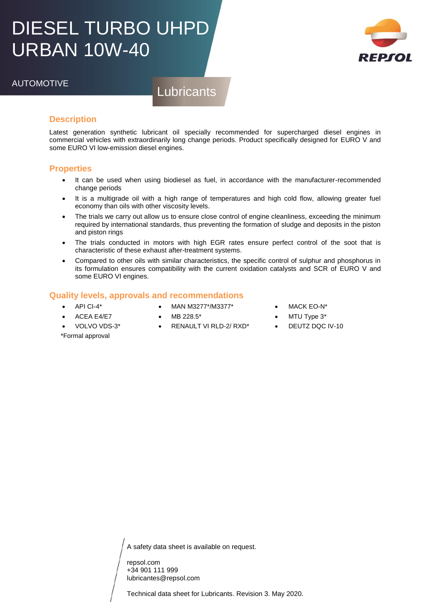## DIESEL TURBO UHPD URBAN 10W-40



## AUTOMOTIVE

**Lubricants** 

### **Description**

Latest generation synthetic lubricant oil specially recommended for supercharged diesel engines in commercial vehicles with extraordinarily long change periods. Product specifically designed for EURO V and some EURO VI low-emission diesel engines.

#### **Properties**

- It can be used when using biodiesel as fuel, in accordance with the manufacturer-recommended change periods
- It is a multigrade oil with a high range of temperatures and high cold flow, allowing greater fuel economy than oils with other viscosity levels.
- The trials we carry out allow us to ensure close control of engine cleanliness, exceeding the minimum required by international standards, thus preventing the formation of sludge and deposits in the piston and piston rings
- The trials conducted in motors with high EGR rates ensure perfect control of the soot that is characteristic of these exhaust after-treatment systems.
- Compared to other oils with similar characteristics, the specific control of sulphur and phosphorus in its formulation ensures compatibility with the current oxidation catalysts and SCR of EURO V and some EURO VI engines.

#### **Quality levels, approvals and recommendations**

- API CI-4\*
- MAN M3277\*/M3377\*
- ACEA E4/E7

VOLVO VDS-3\*

- MB 228.5\*
	- RENAULT VI RLD-2/ RXD\*
- MACK EO-N\*
- MTU Type 3\*
- DEUTZ DQC IV-10

\*Formal approval

A safety data sheet is available on request.

repsol.com +34 901 111 999 lubricantes@repsol.com

Technical data sheet for Lubricants. Revision 3. May 2020.